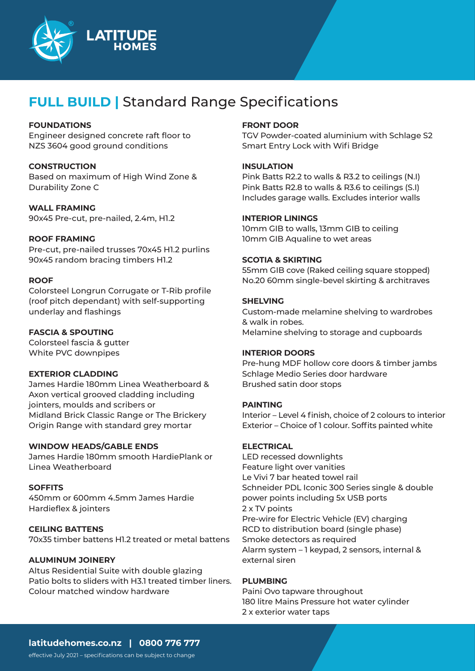

# **FULL BUILD |** Standard Range Specifications

# **FOUNDATIONS**

Engineer designed concrete raft floor to NZS 3604 good ground conditions

#### **CONSTRUCTION**

Based on maximum of High Wind Zone & Durability Zone C

# **WALL FRAMING**

90x45 Pre-cut, pre-nailed, 2.4m, H1.2

# **ROOF FRAMING**

Pre-cut, pre-nailed trusses 70x45 H1.2 purlins 90x45 random bracing timbers H1.2

# **ROOF**

Colorsteel Longrun Corrugate or T-Rib profile (roof pitch dependant) with self-supporting underlay and flashings

# **FASCIA & SPOUTING**

Colorsteel fascia & gutter White PVC downpipes

#### **EXTERIOR CLADDING**

James Hardie 180mm Linea Weatherboard & Axon vertical grooved cladding including jointers, moulds and scribers or Midland Brick Classic Range or The Brickery Origin Range with standard grey mortar

#### **WINDOW HEADS/GABLE ENDS**

James Hardie 180mm smooth HardiePlank or Linea Weatherboard

#### **SOFFITS**

450mm or 600mm 4.5mm James Hardie Hardieflex & jointers

#### **CEILING BATTENS**

70x35 timber battens H1.2 treated or metal battens

# **ALUMINUM JOINERY**

Altus Residential Suite with double glazing Patio bolts to sliders with H3.1 treated timber liners. Colour matched window hardware

# **FRONT DOOR**

TGV Powder-coated aluminium with Schlage S2 Smart Entry Lock with Wifi Bridge

#### **INSULATION**

Pink Batts R2.2 to walls & R3.2 to ceilings (N.I) Pink Batts R2.8 to walls & R3.6 to ceilings (S.I) Includes garage walls. Excludes interior walls

#### **INTERIOR LININGS**

10mm GIB to walls, 13mm GIB to ceiling 10mm GIB Aqualine to wet areas

# **SCOTIA & SKIRTING**

55mm GIB cove (Raked ceiling square stopped) No.20 60mm single-bevel skirting & architraves

# **SHELVING**

Custom-made melamine shelving to wardrobes & walk in robes. Melamine shelving to storage and cupboards

#### **INTERIOR DOORS**

Pre-hung MDF hollow core doors & timber jambs Schlage Medio Series door hardware Brushed satin door stops

#### **PAINTING**

Interior – Level 4 finish, choice of 2 colours to interior Exterior – Choice of 1 colour. Soffits painted white

#### **ELECTRICAL**

LED recessed downlights Feature light over vanities Le Vivi 7 bar heated towel rail Schneider PDL Iconic 300 Series single & double power points including 5x USB ports 2 x TV points Pre-wire for Electric Vehicle (EV) charging RCD to distribution board (single phase) Smoke detectors as required Alarm system – 1 keypad, 2 sensors, internal & external siren

#### **PLUMBING**

Paini Ovo tapware throughout 180 litre Mains Pressure hot water cylinder 2 x exterior water taps

# **latitudehomes.co.nz | 0800 776 777**

effective July 2021 – specifications can be subject to change